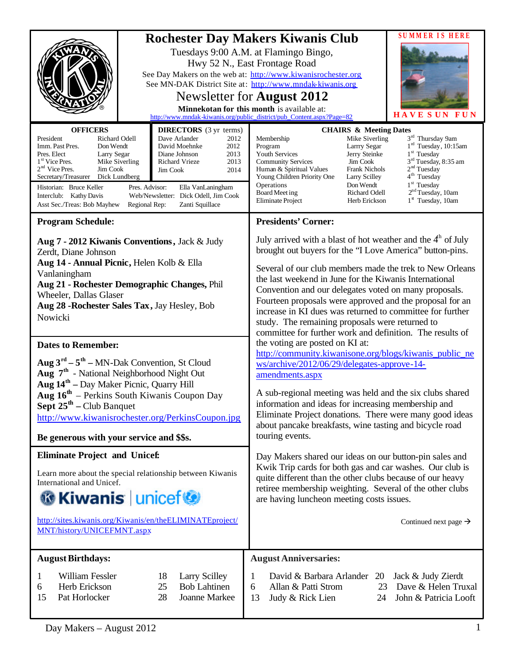| <b>OFFICERS</b><br>President<br>Richard Odell<br>Imm. Past Pres.<br>Don Wendt<br>Pres. Elect<br>Larry Segar<br>$1st$ Vice Pres.<br>Mike Siverling<br>$2nd$ Vice Pres.<br>Jim Cook<br>Secretary/Treasurer<br>Dick Lundberg<br>Historian: Bruce Keller<br>Pres. Advisor:<br>Interclub: Kathy Davis                                                                                                                            | <b>DIRECTORS</b> (3 yr terms)<br>Dave Arlander<br>2012<br>David Moehnke<br>2012<br>Diane Johnson<br>2013<br>2013<br>Richard Vrieze<br>2014<br>Jim Cook<br>Ella VanLaningham<br>Web/Newsletter: Dick Odell, Jim Cook | <b>Rochester Day Makers Kiwanis Club</b><br>Tuesdays 9:00 A.M. at Flamingo Bingo,<br>Hwy 52 N., East Frontage Road<br>See Day Makers on the web at: http://www.kiwanisrochester.org<br>See MN-DAK District Site at: http://www.mndak-kiwanis.org<br>Newsletter for <b>August 2012</b><br>Minnekotan for this month is available at:<br>http://www.mndak-kiwanis.org/public_district/pub_Content.aspx?Page=82<br><b>CHAIRS &amp; Meeting Dates</b><br>Mike Siverling<br>Membership<br>Larrry Segar<br>Program<br>Youth Services<br>Jerry Steinke<br>Jim Cook<br><b>Community Services</b><br><b>Frank Nichols</b><br>Human & Spiritual Values<br>Young Children Priority One<br>Larry Scilley<br>Operations<br>Don Wendt<br>Board Meet ing<br>Richard Odell<br><b>Eliminate Project</b><br>Herb Erickson                                                                                                                                                                                                     | <b>SUMMERIS HERE</b><br><b>HAVE SUN</b><br><b>IIN</b><br>3 <sup>rd</sup> Thursday 9am<br>1 <sup>rd</sup> Tuesday, 10:15am<br>$1st$ Tuesday<br>3 <sup>rd</sup> Tuesday, 8:35 am<br>2 <sup>nd</sup> Tuesday<br>4 <sup>th</sup> Tuesday<br>1 <sup>st</sup> Tuesday<br>2 <sup>nd</sup> Tuesday, 10am<br>$1st$ Tuesday, 10am |
|-----------------------------------------------------------------------------------------------------------------------------------------------------------------------------------------------------------------------------------------------------------------------------------------------------------------------------------------------------------------------------------------------------------------------------|---------------------------------------------------------------------------------------------------------------------------------------------------------------------------------------------------------------------|-------------------------------------------------------------------------------------------------------------------------------------------------------------------------------------------------------------------------------------------------------------------------------------------------------------------------------------------------------------------------------------------------------------------------------------------------------------------------------------------------------------------------------------------------------------------------------------------------------------------------------------------------------------------------------------------------------------------------------------------------------------------------------------------------------------------------------------------------------------------------------------------------------------------------------------------------------------------------------------------------------------|-------------------------------------------------------------------------------------------------------------------------------------------------------------------------------------------------------------------------------------------------------------------------------------------------------------------------|
| Asst Sec./Treas: Bob Mayhew<br>Regional Rep:<br>Zanti Squillace                                                                                                                                                                                                                                                                                                                                                             |                                                                                                                                                                                                                     |                                                                                                                                                                                                                                                                                                                                                                                                                                                                                                                                                                                                                                                                                                                                                                                                                                                                                                                                                                                                             |                                                                                                                                                                                                                                                                                                                         |
| <b>Program Schedule:</b><br>Aug 7 - 2012 Kiwanis Conventions, Jack & Judy<br>Zerdt, Diane Johnson<br>Aug 14 - Annual Picnic, Helen Kolb & Ella<br>Vanlaningham<br>Aug 21 - Rochester Demographic Changes, Phil<br>Wheeler, Dallas Glaser<br>Aug 28 - Rochester Sales Tax, Jay Hesley, Bob<br>Nowicki                                                                                                                        |                                                                                                                                                                                                                     | <b>Presidents' Corner:</b><br>July arrived with a blast of hot weather and the $4h$ of July<br>brought out buyers for the "I Love America" button-pins.<br>Several of our club members made the trek to New Orleans<br>the last weekend in June for the Kiwanis International<br>Convention and our delegates voted on many proposals.<br>Fourteen proposals were approved and the proposal for an<br>increase in KI dues was returned to committee for further<br>study. The remaining proposals were returned to<br>committee for further work and definition. The results of<br>the voting are posted on KI at:<br>http://community.kiwanisone.org/blogs/kiwanis_public_ne<br>ws/archive/2012/06/29/delegates-approve-14-<br>amendments.aspx<br>A sub-regional meeting was held and the six clubs shared<br>information and ideas for increasing membership and<br>Eliminate Project donations. There were many good ideas<br>about pancake breakfasts, wine tasting and bicycle road<br>touring events. |                                                                                                                                                                                                                                                                                                                         |
| <b>Dates to Remember:</b><br>Aug $3^{rd} - 5^{th} - MN$ -Dak Convention, St Cloud<br>Aug 7 <sup>th</sup> - National Neighborhood Night Out<br><b>Aug <math>14th</math></b> – Day Maker Picnic, Quarry Hill<br><b>Aug 16th</b> – Perkins South Kiwanis Coupon Day<br><b>Sept <math>25^{\text{th}}</math> – Club Banquet</b><br>http://www.kiwanisrochester.org/PerkinsCoupon.jpg<br>Be generous with your service and \$\$s. |                                                                                                                                                                                                                     |                                                                                                                                                                                                                                                                                                                                                                                                                                                                                                                                                                                                                                                                                                                                                                                                                                                                                                                                                                                                             |                                                                                                                                                                                                                                                                                                                         |
| <b>Eliminate Project and Unicef:</b><br>Learn more about the special relationship between Kiwanis<br>International and Unicef.<br><b>G</b> Kiwanis unicef<br>http://sites.kiwanis.org/Kiwanis/en/theELIMINATEproject/<br>MNT/history/UNICEFMNT.aspx                                                                                                                                                                         |                                                                                                                                                                                                                     | Day Makers shared our ideas on our button-pin sales and<br>Kwik Trip cards for both gas and car washes. Our club is<br>quite different than the other clubs because of our heavy<br>retiree membership weighting. Several of the other clubs<br>are having luncheon meeting costs issues.<br>Continued next page $\rightarrow$                                                                                                                                                                                                                                                                                                                                                                                                                                                                                                                                                                                                                                                                              |                                                                                                                                                                                                                                                                                                                         |
| <b>August Birthdays:</b>                                                                                                                                                                                                                                                                                                                                                                                                    |                                                                                                                                                                                                                     | <b>August Anniversaries:</b>                                                                                                                                                                                                                                                                                                                                                                                                                                                                                                                                                                                                                                                                                                                                                                                                                                                                                                                                                                                |                                                                                                                                                                                                                                                                                                                         |
| William Fessler<br>1<br>Herb Erickson<br>6<br>15<br>Pat Horlocker                                                                                                                                                                                                                                                                                                                                                           | 18<br><b>Larry Scilley</b><br><b>Bob Lahtinen</b><br>25<br>28<br>Joanne Markee                                                                                                                                      | David & Barbara Arlander 20<br>1<br>Allan & Patti Strom<br>6<br>23<br>13<br>Judy & Rick Lien<br>24                                                                                                                                                                                                                                                                                                                                                                                                                                                                                                                                                                                                                                                                                                                                                                                                                                                                                                          | Jack & Judy Zierdt<br>Dave & Helen Truxal<br>John & Patricia Looft                                                                                                                                                                                                                                                      |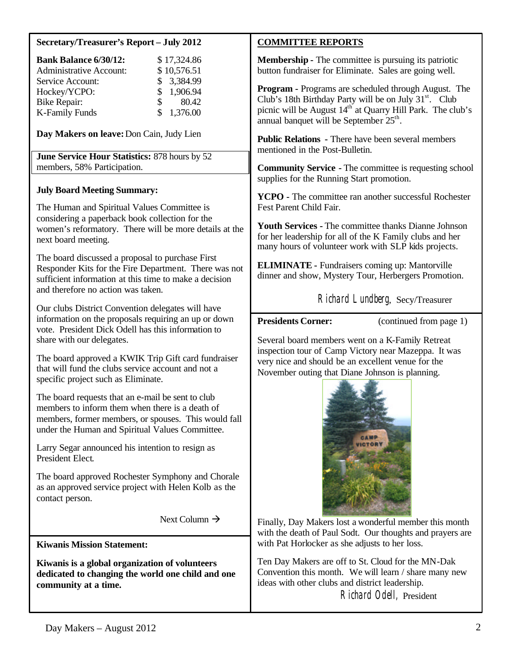## **Secretary/Treasurer's Report – July 2012**

| <b>Bank Balance 6/30/12:</b>   | \$17,324.86           |
|--------------------------------|-----------------------|
| <b>Administrative Account:</b> | \$10,576.51           |
| Service Account:               | \$ 3,384.99           |
| Hockey/YCPO:                   | \$1,906.94            |
| <b>Bike Repair:</b>            | 80.42<br>$\mathbf{s}$ |
| <b>K-Family Funds</b>          | \$1,376.00            |

**Day Makers on leave:**Don Cain, Judy Lien

**June Service Hour Statistics:** 878 hours by 52 members, 58% Participation.

#### **July Board Meeting Summary:**

The Human and Spiritual Values Committee is considering a paperback book collection for the women's reformatory. There will be more details at the next board meeting.

The board discussed a proposal to purchase First Responder Kits for the Fire Department. There was not sufficient information at this time to make a decision and therefore no action was taken.

Our clubs District Convention delegates will have information on the proposals requiring an up or down vote. President Dick Odell has this information to share with our delegates.

The board approved a KWIK Trip Gift card fundraiser that will fund the clubs service account and not a specific project such as Eliminate.

The board requests that an e-mail be sent to club members to inform them when there is a death of members, former members, or spouses. This would fall under the Human and Spiritual Values Committee.

Larry Segar announced his intention to resign as President Elect.

The board approved Rochester Symphony and Chorale as an approved service project with Helen Kolb as the contact person.

Next Column  $\rightarrow$ 

**Kiwanis Mission Statement:**

**Kiwanis is a global organization of volunteers dedicated to changing the world one child and one community at a time.**

#### **COMMITTEE REPORTS**

**Membership -** The committee is pursuing its patriotic button fundraiser for Eliminate. Sales are going well.

**Program -** Programs are scheduled through August. The Club's 18th Birthday Party will be on July  $31<sup>st</sup>$ . Club picnic will be August  $14<sup>th</sup>$  at Quarry Hill Park. The club's annual banquet will be September  $25<sup>th</sup>$ .

**Public Relations -** There have been several members mentioned in the Post-Bulletin.

**Community Service -** The committee is requesting school supplies for the Running Start promotion.

**YCPO -** The committee ran another successful Rochester Fest Parent Child Fair.

**Youth Services -** The committee thanks Dianne Johnson for her leadership for all of the K Family clubs and her many hours of volunteer work with SLP kids projects.

**ELIMINATE -** Fundraisers coming up: Mantorville dinner and show, Mystery Tour, Herbergers Promotion.

Richard Lundberg, Secy/Treasurer

**Presidents Corner:** (continued from page 1)

Several board members went on a K-Family Retreat inspection tour of Camp Victory near Mazeppa. It was very nice and should be an excellent venue for the November outing that Diane Johnson is planning.



Finally, Day Makers lost a wonderful member this month with the death of Paul Sodt. Our thoughts and prayers are with Pat Horlocker as she adjusts to her loss.

Ten Day Makers are off to St. Cloud for the MN-Dak Convention this month. We will learn / share many new ideas with other clubs and district leadership.

Richard Odell, President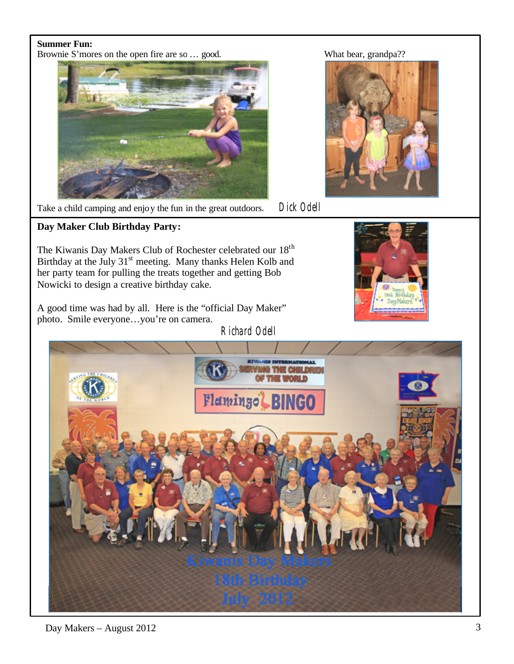## **Summer Fun:**

Brownie S'mores on the open fire are so ... good. What bear, grandpa??





Take a child camping and enjoy the fun in the great outdoors. Dick Odell

**Day Maker Club Birthday Party:**

The Kiwanis Day Makers Club of Rochester celebrated our 18<sup>th</sup> Birthday at the July 31<sup>st</sup> meeting. Many thanks Helen Kolb and her party team for pulling the treats together and getting Bob Nowicki to design a creative birthday cake.

A good time was had by all. Here is the "official Day Maker" photo. Smile everyone…you're on camera.

Richard Odell